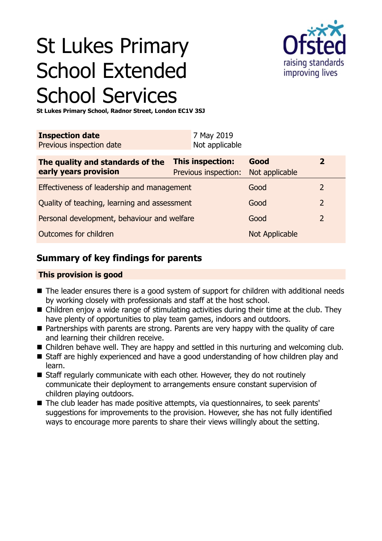# St Lukes Primary School Extended School Services



**St Lukes Primary School, Radnor Street, London EC1V 3SJ**

| <b>Inspection date</b><br>Previous inspection date        | 7 May 2019<br>Not applicable             |                        |                |
|-----------------------------------------------------------|------------------------------------------|------------------------|----------------|
| The quality and standards of the<br>early years provision | This inspection:<br>Previous inspection: | Good<br>Not applicable | $\mathbf{2}$   |
| Effectiveness of leadership and management                |                                          | Good                   | 2              |
| Quality of teaching, learning and assessment              |                                          | Good                   | $\overline{2}$ |
| Personal development, behaviour and welfare               |                                          | Good                   | 2              |
| Outcomes for children                                     |                                          | <b>Not Applicable</b>  |                |

# **Summary of key findings for parents**

#### **This provision is good**

- $\blacksquare$  The leader ensures there is a good system of support for children with additional needs by working closely with professionals and staff at the host school.
- $\blacksquare$  Children enjoy a wide range of stimulating activities during their time at the club. They have plenty of opportunities to play team games, indoors and outdoors.
- $\blacksquare$  Partnerships with parents are strong. Parents are very happy with the quality of care and learning their children receive.
- Children behave well. They are happy and settled in this nurturing and welcoming club.
- Staff are highly experienced and have a good understanding of how children play and learn.
- Staff regularly communicate with each other. However, they do not routinely communicate their deployment to arrangements ensure constant supervision of children playing outdoors.
- The club leader has made positive attempts, via questionnaires, to seek parents' suggestions for improvements to the provision. However, she has not fully identified ways to encourage more parents to share their views willingly about the setting.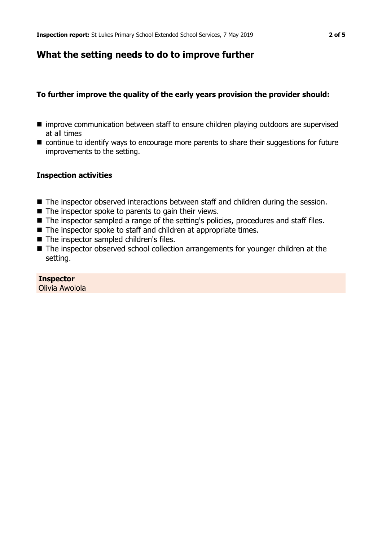## **What the setting needs to do to improve further**

#### **To further improve the quality of the early years provision the provider should:**

- improve communication between staff to ensure children playing outdoors are supervised at all times
- continue to identify ways to encourage more parents to share their suggestions for future improvements to the setting.

#### **Inspection activities**

- The inspector observed interactions between staff and children during the session.
- $\blacksquare$  The inspector spoke to parents to gain their views.
- The inspector sampled a range of the setting's policies, procedures and staff files.
- $\blacksquare$  The inspector spoke to staff and children at appropriate times.
- $\blacksquare$  The inspector sampled children's files.
- The inspector observed school collection arrangements for younger children at the setting.

#### **Inspector**

Olivia Awolola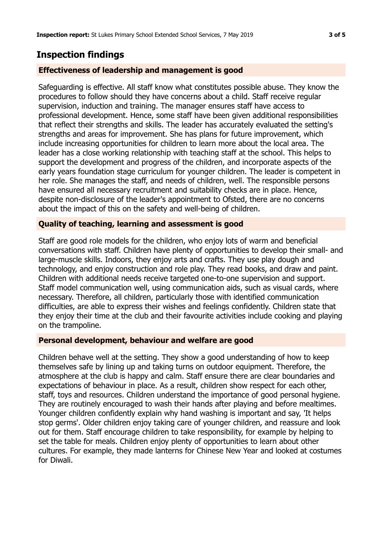# **Inspection findings**

#### **Effectiveness of leadership and management is good**

Safeguarding is effective. All staff know what constitutes possible abuse. They know the procedures to follow should they have concerns about a child. Staff receive regular supervision, induction and training. The manager ensures staff have access to professional development. Hence, some staff have been given additional responsibilities that reflect their strengths and skills. The leader has accurately evaluated the setting's strengths and areas for improvement. She has plans for future improvement, which include increasing opportunities for children to learn more about the local area. The leader has a close working relationship with teaching staff at the school. This helps to support the development and progress of the children, and incorporate aspects of the early years foundation stage curriculum for younger children. The leader is competent in her role. She manages the staff, and needs of children, well. The responsible persons have ensured all necessary recruitment and suitability checks are in place. Hence, despite non-disclosure of the leader's appointment to Ofsted, there are no concerns about the impact of this on the safety and well-being of children.

#### **Quality of teaching, learning and assessment is good**

Staff are good role models for the children, who enjoy lots of warm and beneficial conversations with staff. Children have plenty of opportunities to develop their small- and large-muscle skills. Indoors, they enjoy arts and crafts. They use play dough and technology, and enjoy construction and role play. They read books, and draw and paint. Children with additional needs receive targeted one-to-one supervision and support. Staff model communication well, using communication aids, such as visual cards, where necessary. Therefore, all children, particularly those with identified communication difficulties, are able to express their wishes and feelings confidently. Children state that they enjoy their time at the club and their favourite activities include cooking and playing on the trampoline.

#### **Personal development, behaviour and welfare are good**

Children behave well at the setting. They show a good understanding of how to keep themselves safe by lining up and taking turns on outdoor equipment. Therefore, the atmosphere at the club is happy and calm. Staff ensure there are clear boundaries and expectations of behaviour in place. As a result, children show respect for each other, staff, toys and resources. Children understand the importance of good personal hygiene. They are routinely encouraged to wash their hands after playing and before mealtimes. Younger children confidently explain why hand washing is important and say, 'It helps stop germs'. Older children enjoy taking care of younger children, and reassure and look out for them. Staff encourage children to take responsibility, for example by helping to set the table for meals. Children enjoy plenty of opportunities to learn about other cultures. For example, they made lanterns for Chinese New Year and looked at costumes for Diwali.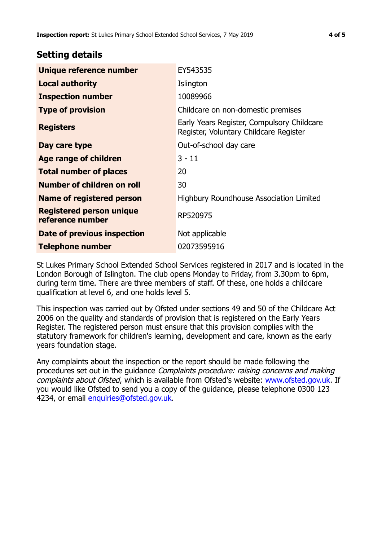## **Setting details**

| Unique reference number                             | EY543535                                                                             |  |
|-----------------------------------------------------|--------------------------------------------------------------------------------------|--|
| <b>Local authority</b>                              | Islington                                                                            |  |
| <b>Inspection number</b>                            | 10089966                                                                             |  |
| <b>Type of provision</b>                            | Childcare on non-domestic premises                                                   |  |
| <b>Registers</b>                                    | Early Years Register, Compulsory Childcare<br>Register, Voluntary Childcare Register |  |
| Day care type                                       | Out-of-school day care                                                               |  |
| <b>Age range of children</b>                        | $3 - 11$                                                                             |  |
| <b>Total number of places</b>                       | 20                                                                                   |  |
| Number of children on roll                          | 30                                                                                   |  |
| Name of registered person                           | Highbury Roundhouse Association Limited                                              |  |
| <b>Registered person unique</b><br>reference number | RP520975                                                                             |  |
| <b>Date of previous inspection</b>                  | Not applicable                                                                       |  |
| <b>Telephone number</b>                             | 02073595916                                                                          |  |

St Lukes Primary School Extended School Services registered in 2017 and is located in the London Borough of Islington. The club opens Monday to Friday, from 3.30pm to 6pm, during term time. There are three members of staff. Of these, one holds a childcare qualification at level 6, and one holds level 5.

This inspection was carried out by Ofsted under sections 49 and 50 of the Childcare Act 2006 on the quality and standards of provision that is registered on the Early Years Register. The registered person must ensure that this provision complies with the statutory framework for children's learning, development and care, known as the early years foundation stage.

Any complaints about the inspection or the report should be made following the procedures set out in the quidance *Complaints procedure: raising concerns and making* complaints about Ofsted, which is available from Ofsted's website: www.ofsted.gov.uk. If you would like Ofsted to send you a copy of the guidance, please telephone 0300 123 4234, or email [enquiries@ofsted.gov.uk.](mailto:enquiries@ofsted.gov.uk)